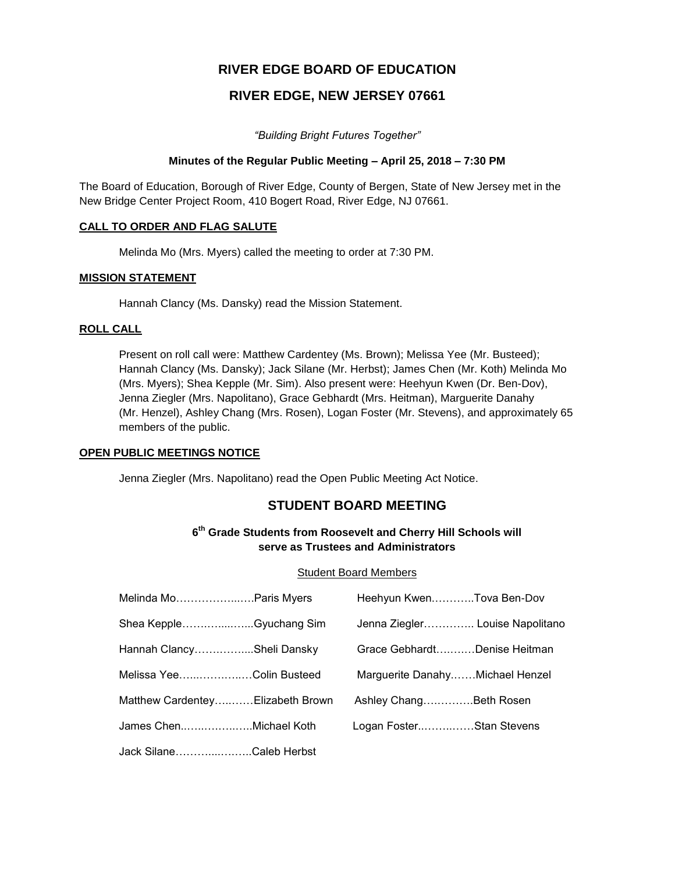# **RIVER EDGE BOARD OF EDUCATION**

# **RIVER EDGE, NEW JERSEY 07661**

*"Building Bright Futures Together"*

## **Minutes of the Regular Public Meeting – April 25, 2018 – 7:30 PM**

The Board of Education, Borough of River Edge, County of Bergen, State of New Jersey met in the New Bridge Center Project Room, 410 Bogert Road, River Edge, NJ 07661.

## **CALL TO ORDER AND FLAG SALUTE**

Melinda Mo (Mrs. Myers) called the meeting to order at 7:30 PM.

## **MISSION STATEMENT**

Hannah Clancy (Ms. Dansky) read the Mission Statement.

## **ROLL CALL**

Present on roll call were: Matthew Cardentey (Ms. Brown); Melissa Yee (Mr. Busteed); Hannah Clancy (Ms. Dansky); Jack Silane (Mr. Herbst); James Chen (Mr. Koth) Melinda Mo (Mrs. Myers); Shea Kepple (Mr. Sim). Also present were: Heehyun Kwen (Dr. Ben-Dov), Jenna Ziegler (Mrs. Napolitano), Grace Gebhardt (Mrs. Heitman), Marguerite Danahy (Mr. Henzel), Ashley Chang (Mrs. Rosen), Logan Foster (Mr. Stevens), and approximately 65 members of the public.

## **OPEN PUBLIC MEETINGS NOTICE**

Jenna Ziegler (Mrs. Napolitano) read the Open Public Meeting Act Notice.

# **STUDENT BOARD MEETING**

# **6 th Grade Students from Roosevelt and Cherry Hill Schools will serve as Trustees and Administrators**

#### Student Board Members

| Melinda MoParis Myers            | Heehyun KwenTova Ben-Dov        |  |
|----------------------------------|---------------------------------|--|
| Shea KeppleGyuchang Sim          | Jenna Ziegler Louise Napolitano |  |
| Hannah ClancySheli Dansky        | Grace GebhardtDenise Heitman    |  |
| Melissa YeeColin Busteed         | Marguerite DanahyMichael Henzel |  |
| Matthew CardenteyElizabeth Brown | Ashley ChangBeth Rosen          |  |
| James ChenMichael Koth           | Logan FosterStan Stevens        |  |
| Jack SilaneCaleb Herbst          |                                 |  |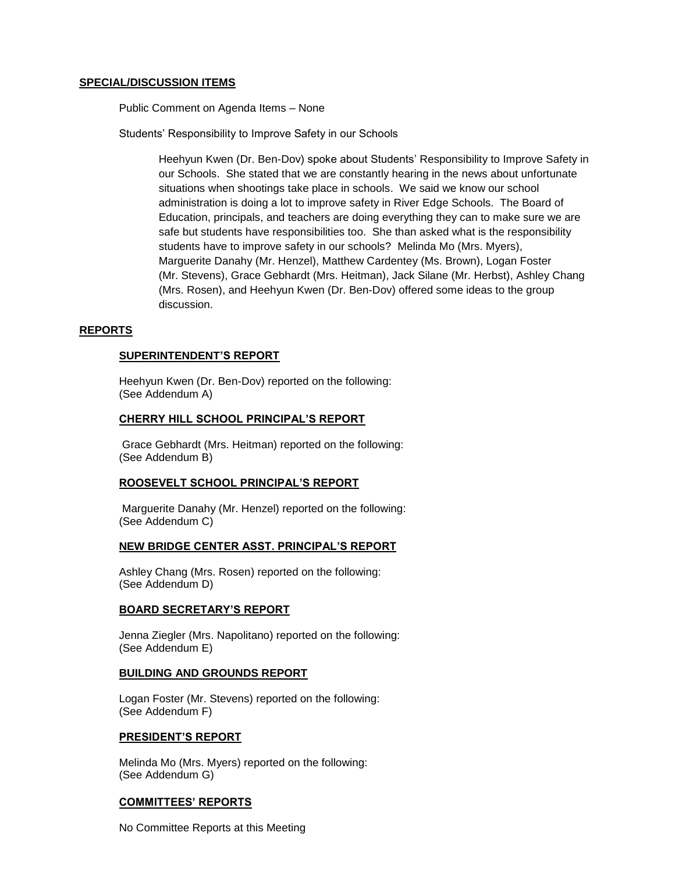#### **SPECIAL/DISCUSSION ITEMS**

Public Comment on Agenda Items – None

Students' Responsibility to Improve Safety in our Schools

Heehyun Kwen (Dr. Ben-Dov) spoke about Students' Responsibility to Improve Safety in our Schools. She stated that we are constantly hearing in the news about unfortunate situations when shootings take place in schools. We said we know our school administration is doing a lot to improve safety in River Edge Schools. The Board of Education, principals, and teachers are doing everything they can to make sure we are safe but students have responsibilities too. She than asked what is the responsibility students have to improve safety in our schools? Melinda Mo (Mrs. Myers), Marguerite Danahy (Mr. Henzel), Matthew Cardentey (Ms. Brown), Logan Foster (Mr. Stevens), Grace Gebhardt (Mrs. Heitman), Jack Silane (Mr. Herbst), Ashley Chang (Mrs. Rosen), and Heehyun Kwen (Dr. Ben-Dov) offered some ideas to the group discussion.

## **REPORTS**

#### **SUPERINTENDENT'S REPORT**

Heehyun Kwen (Dr. Ben-Dov) reported on the following: (See Addendum A)

#### **CHERRY HILL SCHOOL PRINCIPAL'S REPORT**

Grace Gebhardt (Mrs. Heitman) reported on the following: (See Addendum B)

#### **ROOSEVELT SCHOOL PRINCIPAL'S REPORT**

Marguerite Danahy (Mr. Henzel) reported on the following: (See Addendum C)

#### **NEW BRIDGE CENTER ASST. PRINCIPAL'S REPORT**

Ashley Chang (Mrs. Rosen) reported on the following: (See Addendum D)

#### **BOARD SECRETARY'S REPORT**

Jenna Ziegler (Mrs. Napolitano) reported on the following: (See Addendum E)

#### **BUILDING AND GROUNDS REPORT**

Logan Foster (Mr. Stevens) reported on the following: (See Addendum F)

#### **PRESIDENT'S REPORT**

Melinda Mo (Mrs. Myers) reported on the following: (See Addendum G)

#### **COMMITTEES' REPORTS**

No Committee Reports at this Meeting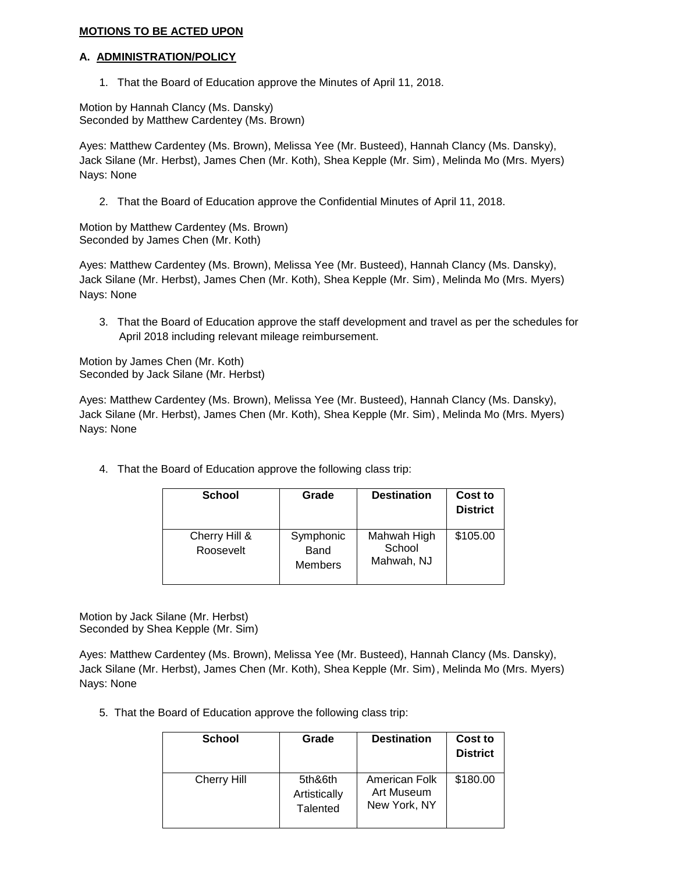# **MOTIONS TO BE ACTED UPON**

#### **A. ADMINISTRATION/POLICY**

1. That the Board of Education approve the Minutes of April 11, 2018.

Motion by Hannah Clancy (Ms. Dansky) Seconded by Matthew Cardentey (Ms. Brown)

Ayes: Matthew Cardentey (Ms. Brown), Melissa Yee (Mr. Busteed), Hannah Clancy (Ms. Dansky), Jack Silane (Mr. Herbst), James Chen (Mr. Koth), Shea Kepple (Mr. Sim), Melinda Mo (Mrs. Myers) Nays: None

2. That the Board of Education approve the Confidential Minutes of April 11, 2018.

Motion by Matthew Cardentey (Ms. Brown) Seconded by James Chen (Mr. Koth)

Ayes: Matthew Cardentey (Ms. Brown), Melissa Yee (Mr. Busteed), Hannah Clancy (Ms. Dansky), Jack Silane (Mr. Herbst), James Chen (Mr. Koth), Shea Kepple (Mr. Sim), Melinda Mo (Mrs. Myers) Nays: None

3. That the Board of Education approve the staff development and travel as per the schedules for April 2018 including relevant mileage reimbursement.

Motion by James Chen (Mr. Koth) Seconded by Jack Silane (Mr. Herbst)

Ayes: Matthew Cardentey (Ms. Brown), Melissa Yee (Mr. Busteed), Hannah Clancy (Ms. Dansky), Jack Silane (Mr. Herbst), James Chen (Mr. Koth), Shea Kepple (Mr. Sim), Melinda Mo (Mrs. Myers) Nays: None

4. That the Board of Education approve the following class trip:

| <b>School</b>              | Grade                               | <b>Destination</b>                  | Cost to<br><b>District</b> |
|----------------------------|-------------------------------------|-------------------------------------|----------------------------|
| Cherry Hill &<br>Roosevelt | Symphonic<br>Band<br><b>Members</b> | Mahwah High<br>School<br>Mahwah, NJ | \$105.00                   |

Motion by Jack Silane (Mr. Herbst) Seconded by Shea Kepple (Mr. Sim)

Ayes: Matthew Cardentey (Ms. Brown), Melissa Yee (Mr. Busteed), Hannah Clancy (Ms. Dansky), Jack Silane (Mr. Herbst), James Chen (Mr. Koth), Shea Kepple (Mr. Sim), Melinda Mo (Mrs. Myers) Nays: None

5. That the Board of Education approve the following class trip:

| <b>School</b>      | Grade                                      | <b>Destination</b>                          | Cost to<br><b>District</b> |
|--------------------|--------------------------------------------|---------------------------------------------|----------------------------|
| <b>Cherry Hill</b> | 5th&6th<br>Artistically<br><b>Talented</b> | American Folk<br>Art Museum<br>New York, NY | \$180.00                   |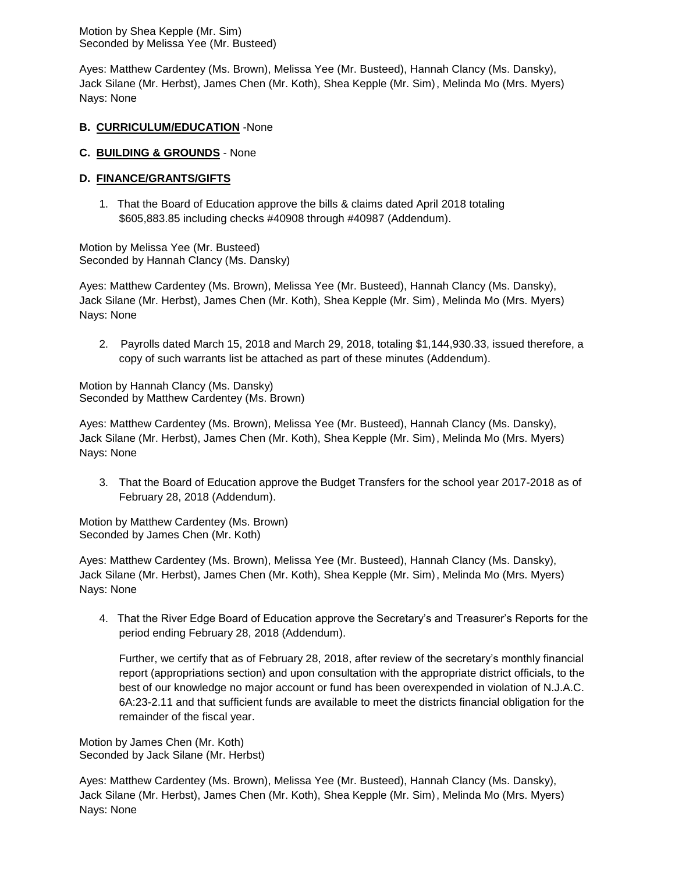Motion by Shea Kepple (Mr. Sim) Seconded by Melissa Yee (Mr. Busteed)

Ayes: Matthew Cardentey (Ms. Brown), Melissa Yee (Mr. Busteed), Hannah Clancy (Ms. Dansky), Jack Silane (Mr. Herbst), James Chen (Mr. Koth), Shea Kepple (Mr. Sim), Melinda Mo (Mrs. Myers) Nays: None

# **B. CURRICULUM/EDUCATION** -None

## **C. BUILDING & GROUNDS** - None

# **D. FINANCE/GRANTS/GIFTS**

1. That the Board of Education approve the bills & claims dated April 2018 totaling \$605,883.85 including checks #40908 through #40987 (Addendum).

Motion by Melissa Yee (Mr. Busteed) Seconded by Hannah Clancy (Ms. Dansky)

Ayes: Matthew Cardentey (Ms. Brown), Melissa Yee (Mr. Busteed), Hannah Clancy (Ms. Dansky), Jack Silane (Mr. Herbst), James Chen (Mr. Koth), Shea Kepple (Mr. Sim), Melinda Mo (Mrs. Myers) Nays: None

2. Payrolls dated March 15, 2018 and March 29, 2018, totaling \$1,144,930.33, issued therefore, a copy of such warrants list be attached as part of these minutes (Addendum).

Motion by Hannah Clancy (Ms. Dansky) Seconded by Matthew Cardentey (Ms. Brown)

Ayes: Matthew Cardentey (Ms. Brown), Melissa Yee (Mr. Busteed), Hannah Clancy (Ms. Dansky), Jack Silane (Mr. Herbst), James Chen (Mr. Koth), Shea Kepple (Mr. Sim), Melinda Mo (Mrs. Myers) Nays: None

3. That the Board of Education approve the Budget Transfers for the school year 2017-2018 as of February 28, 2018 (Addendum).

Motion by Matthew Cardentey (Ms. Brown) Seconded by James Chen (Mr. Koth)

Ayes: Matthew Cardentey (Ms. Brown), Melissa Yee (Mr. Busteed), Hannah Clancy (Ms. Dansky), Jack Silane (Mr. Herbst), James Chen (Mr. Koth), Shea Kepple (Mr. Sim), Melinda Mo (Mrs. Myers) Nays: None

4. That the River Edge Board of Education approve the Secretary's and Treasurer's Reports for the period ending February 28, 2018 (Addendum).

Further, we certify that as of February 28, 2018, after review of the secretary's monthly financial report (appropriations section) and upon consultation with the appropriate district officials, to the best of our knowledge no major account or fund has been overexpended in violation of N.J.A.C. 6A:23-2.11 and that sufficient funds are available to meet the districts financial obligation for the remainder of the fiscal year.

Motion by James Chen (Mr. Koth) Seconded by Jack Silane (Mr. Herbst)

Ayes: Matthew Cardentey (Ms. Brown), Melissa Yee (Mr. Busteed), Hannah Clancy (Ms. Dansky), Jack Silane (Mr. Herbst), James Chen (Mr. Koth), Shea Kepple (Mr. Sim), Melinda Mo (Mrs. Myers) Nays: None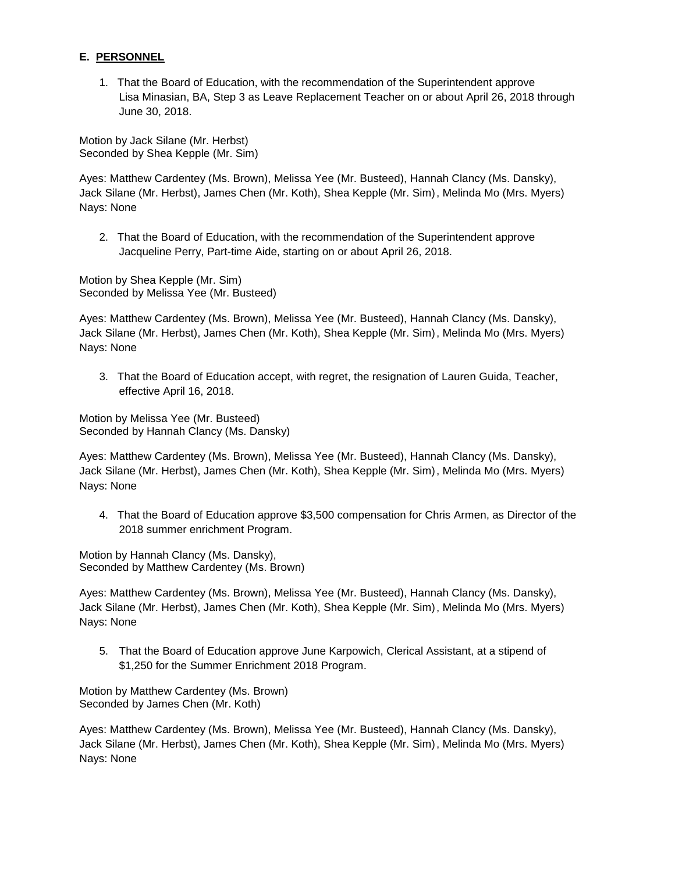# **E. PERSONNEL**

1. That the Board of Education, with the recommendation of the Superintendent approve Lisa Minasian, BA, Step 3 as Leave Replacement Teacher on or about April 26, 2018 through June 30, 2018.

Motion by Jack Silane (Mr. Herbst) Seconded by Shea Kepple (Mr. Sim)

Ayes: Matthew Cardentey (Ms. Brown), Melissa Yee (Mr. Busteed), Hannah Clancy (Ms. Dansky), Jack Silane (Mr. Herbst), James Chen (Mr. Koth), Shea Kepple (Mr. Sim), Melinda Mo (Mrs. Myers) Nays: None

2. That the Board of Education, with the recommendation of the Superintendent approve Jacqueline Perry, Part-time Aide, starting on or about April 26, 2018.

Motion by Shea Kepple (Mr. Sim) Seconded by Melissa Yee (Mr. Busteed)

Ayes: Matthew Cardentey (Ms. Brown), Melissa Yee (Mr. Busteed), Hannah Clancy (Ms. Dansky), Jack Silane (Mr. Herbst), James Chen (Mr. Koth), Shea Kepple (Mr. Sim), Melinda Mo (Mrs. Myers) Nays: None

3. That the Board of Education accept, with regret, the resignation of Lauren Guida, Teacher, effective April 16, 2018.

Motion by Melissa Yee (Mr. Busteed) Seconded by Hannah Clancy (Ms. Dansky)

Ayes: Matthew Cardentey (Ms. Brown), Melissa Yee (Mr. Busteed), Hannah Clancy (Ms. Dansky), Jack Silane (Mr. Herbst), James Chen (Mr. Koth), Shea Kepple (Mr. Sim), Melinda Mo (Mrs. Myers) Nays: None

4. That the Board of Education approve \$3,500 compensation for Chris Armen, as Director of the 2018 summer enrichment Program.

Motion by Hannah Clancy (Ms. Dansky), Seconded by Matthew Cardentey (Ms. Brown)

Ayes: Matthew Cardentey (Ms. Brown), Melissa Yee (Mr. Busteed), Hannah Clancy (Ms. Dansky), Jack Silane (Mr. Herbst), James Chen (Mr. Koth), Shea Kepple (Mr. Sim), Melinda Mo (Mrs. Myers) Nays: None

5. That the Board of Education approve June Karpowich, Clerical Assistant, at a stipend of \$1,250 for the Summer Enrichment 2018 Program.

Motion by Matthew Cardentey (Ms. Brown) Seconded by James Chen (Mr. Koth)

Ayes: Matthew Cardentey (Ms. Brown), Melissa Yee (Mr. Busteed), Hannah Clancy (Ms. Dansky), Jack Silane (Mr. Herbst), James Chen (Mr. Koth), Shea Kepple (Mr. Sim), Melinda Mo (Mrs. Myers) Nays: None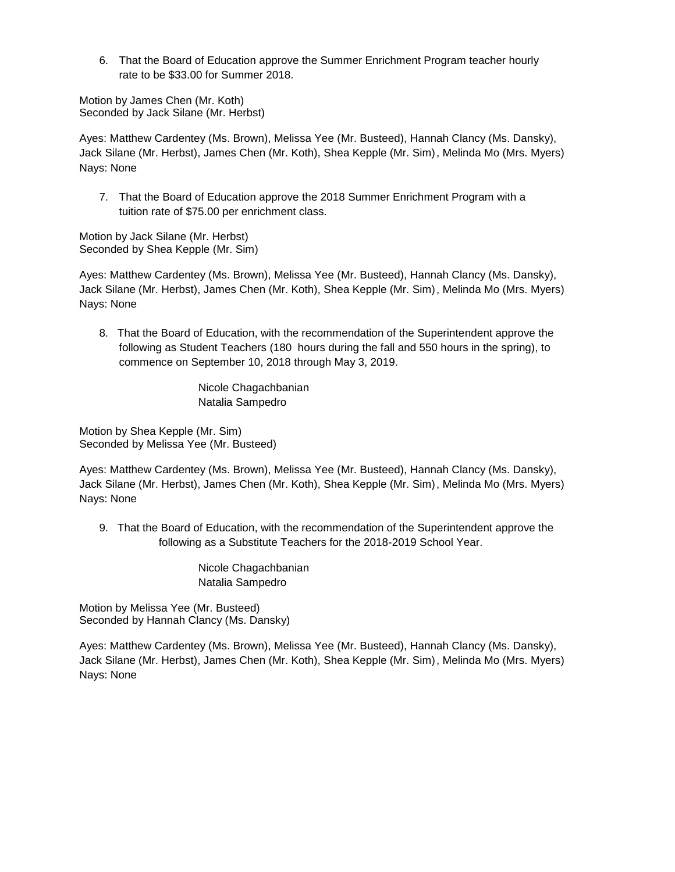6. That the Board of Education approve the Summer Enrichment Program teacher hourly rate to be \$33.00 for Summer 2018.

Motion by James Chen (Mr. Koth) Seconded by Jack Silane (Mr. Herbst)

Ayes: Matthew Cardentey (Ms. Brown), Melissa Yee (Mr. Busteed), Hannah Clancy (Ms. Dansky), Jack Silane (Mr. Herbst), James Chen (Mr. Koth), Shea Kepple (Mr. Sim), Melinda Mo (Mrs. Myers) Nays: None

7. That the Board of Education approve the 2018 Summer Enrichment Program with a tuition rate of \$75.00 per enrichment class.

Motion by Jack Silane (Mr. Herbst) Seconded by Shea Kepple (Mr. Sim)

Ayes: Matthew Cardentey (Ms. Brown), Melissa Yee (Mr. Busteed), Hannah Clancy (Ms. Dansky), Jack Silane (Mr. Herbst), James Chen (Mr. Koth), Shea Kepple (Mr. Sim), Melinda Mo (Mrs. Myers) Nays: None

8. That the Board of Education, with the recommendation of the Superintendent approve the following as Student Teachers (180 hours during the fall and 550 hours in the spring), to commence on September 10, 2018 through May 3, 2019.

> Nicole Chagachbanian Natalia Sampedro

Motion by Shea Kepple (Mr. Sim) Seconded by Melissa Yee (Mr. Busteed)

Ayes: Matthew Cardentey (Ms. Brown), Melissa Yee (Mr. Busteed), Hannah Clancy (Ms. Dansky), Jack Silane (Mr. Herbst), James Chen (Mr. Koth), Shea Kepple (Mr. Sim), Melinda Mo (Mrs. Myers) Nays: None

9. That the Board of Education, with the recommendation of the Superintendent approve the following as a Substitute Teachers for the 2018-2019 School Year.

> Nicole Chagachbanian Natalia Sampedro

Motion by Melissa Yee (Mr. Busteed) Seconded by Hannah Clancy (Ms. Dansky)

Ayes: Matthew Cardentey (Ms. Brown), Melissa Yee (Mr. Busteed), Hannah Clancy (Ms. Dansky), Jack Silane (Mr. Herbst), James Chen (Mr. Koth), Shea Kepple (Mr. Sim), Melinda Mo (Mrs. Myers) Nays: None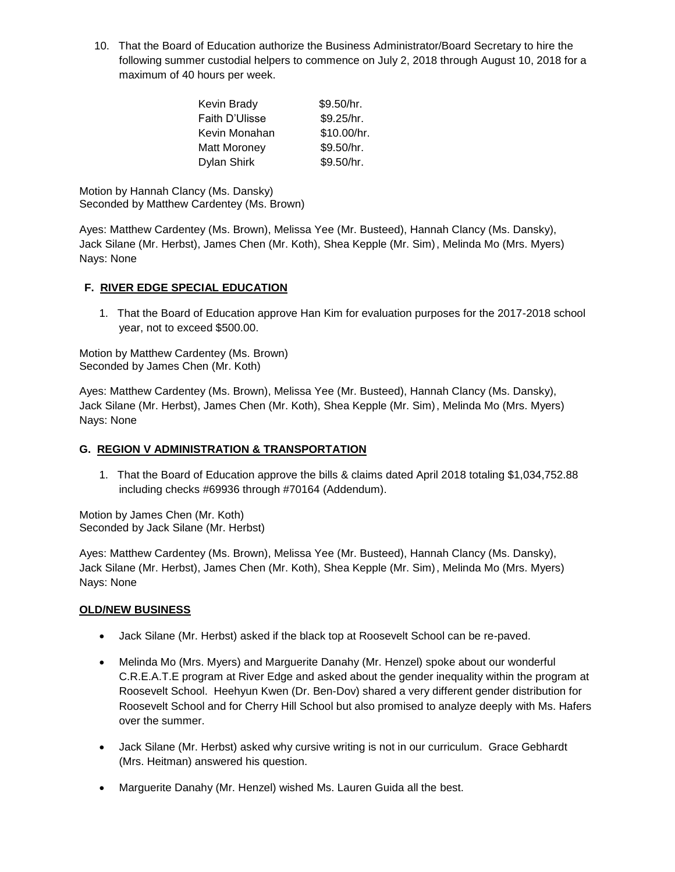10. That the Board of Education authorize the Business Administrator/Board Secretary to hire the following summer custodial helpers to commence on July 2, 2018 through August 10, 2018 for a maximum of 40 hours per week.

| Kevin Brady         | \$9.50/hr.  |
|---------------------|-------------|
| Faith D'Ulisse      | \$9.25/hr.  |
| Kevin Monahan       | \$10.00/hr. |
| <b>Matt Moroney</b> | \$9.50/hr.  |
| Dylan Shirk         | \$9.50/hr.  |

Motion by Hannah Clancy (Ms. Dansky) Seconded by Matthew Cardentey (Ms. Brown)

Ayes: Matthew Cardentey (Ms. Brown), Melissa Yee (Mr. Busteed), Hannah Clancy (Ms. Dansky), Jack Silane (Mr. Herbst), James Chen (Mr. Koth), Shea Kepple (Mr. Sim), Melinda Mo (Mrs. Myers) Nays: None

# **F. RIVER EDGE SPECIAL EDUCATION**

1. That the Board of Education approve Han Kim for evaluation purposes for the 2017-2018 school year, not to exceed \$500.00.

Motion by Matthew Cardentey (Ms. Brown) Seconded by James Chen (Mr. Koth)

Ayes: Matthew Cardentey (Ms. Brown), Melissa Yee (Mr. Busteed), Hannah Clancy (Ms. Dansky), Jack Silane (Mr. Herbst), James Chen (Mr. Koth), Shea Kepple (Mr. Sim), Melinda Mo (Mrs. Myers) Nays: None

# **G. REGION V ADMINISTRATION & TRANSPORTATION**

1. That the Board of Education approve the bills & claims dated April 2018 totaling \$1,034,752.88 including checks #69936 through #70164 (Addendum).

Motion by James Chen (Mr. Koth) Seconded by Jack Silane (Mr. Herbst)

Ayes: Matthew Cardentey (Ms. Brown), Melissa Yee (Mr. Busteed), Hannah Clancy (Ms. Dansky), Jack Silane (Mr. Herbst), James Chen (Mr. Koth), Shea Kepple (Mr. Sim), Melinda Mo (Mrs. Myers) Nays: None

# **OLD/NEW BUSINESS**

- Jack Silane (Mr. Herbst) asked if the black top at Roosevelt School can be re-paved.
- Melinda Mo (Mrs. Myers) and Marguerite Danahy (Mr. Henzel) spoke about our wonderful C.R.E.A.T.E program at River Edge and asked about the gender inequality within the program at Roosevelt School. Heehyun Kwen (Dr. Ben-Dov) shared a very different gender distribution for Roosevelt School and for Cherry Hill School but also promised to analyze deeply with Ms. Hafers over the summer.
- Jack Silane (Mr. Herbst) asked why cursive writing is not in our curriculum. Grace Gebhardt (Mrs. Heitman) answered his question.
- Marguerite Danahy (Mr. Henzel) wished Ms. Lauren Guida all the best.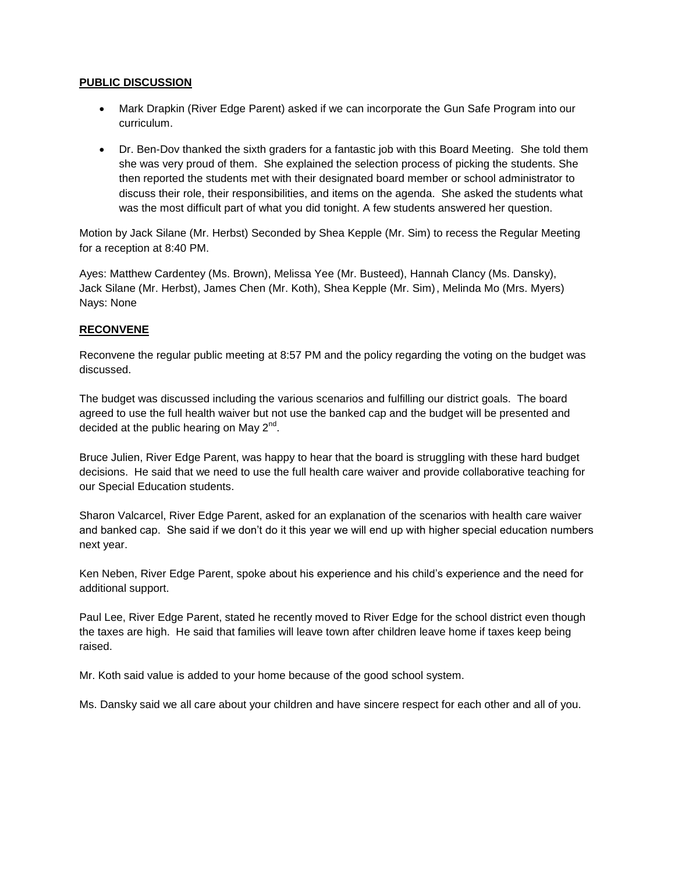# **PUBLIC DISCUSSION**

- Mark Drapkin (River Edge Parent) asked if we can incorporate the Gun Safe Program into our curriculum.
- Dr. Ben-Dov thanked the sixth graders for a fantastic job with this Board Meeting. She told them she was very proud of them. She explained the selection process of picking the students. She then reported the students met with their designated board member or school administrator to discuss their role, their responsibilities, and items on the agenda. She asked the students what was the most difficult part of what you did tonight. A few students answered her question.

Motion by Jack Silane (Mr. Herbst) Seconded by Shea Kepple (Mr. Sim) to recess the Regular Meeting for a reception at 8:40 PM.

Ayes: Matthew Cardentey (Ms. Brown), Melissa Yee (Mr. Busteed), Hannah Clancy (Ms. Dansky), Jack Silane (Mr. Herbst), James Chen (Mr. Koth), Shea Kepple (Mr. Sim), Melinda Mo (Mrs. Myers) Nays: None

# **RECONVENE**

Reconvene the regular public meeting at 8:57 PM and the policy regarding the voting on the budget was discussed.

The budget was discussed including the various scenarios and fulfilling our district goals. The board agreed to use the full health waiver but not use the banked cap and the budget will be presented and decided at the public hearing on May  $2^{nd}$ .

Bruce Julien, River Edge Parent, was happy to hear that the board is struggling with these hard budget decisions. He said that we need to use the full health care waiver and provide collaborative teaching for our Special Education students.

Sharon Valcarcel, River Edge Parent, asked for an explanation of the scenarios with health care waiver and banked cap. She said if we don't do it this year we will end up with higher special education numbers next year.

Ken Neben, River Edge Parent, spoke about his experience and his child's experience and the need for additional support.

Paul Lee, River Edge Parent, stated he recently moved to River Edge for the school district even though the taxes are high. He said that families will leave town after children leave home if taxes keep being raised.

Mr. Koth said value is added to your home because of the good school system.

Ms. Dansky said we all care about your children and have sincere respect for each other and all of you.